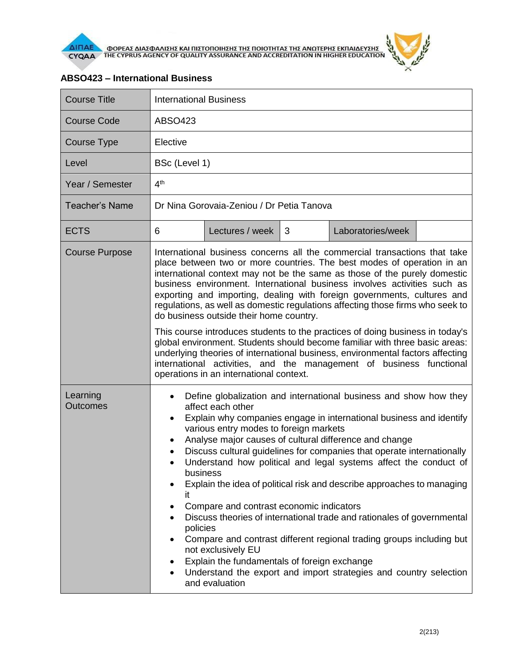

| <b>Course Title</b>         | <b>International Business</b>                                                                                                                                                                                                                                                                                                                                                                                                                                                                                                                                                                                                                                                                                                                                                                                                                                                                                                  |                 |   |                   |  |  |
|-----------------------------|--------------------------------------------------------------------------------------------------------------------------------------------------------------------------------------------------------------------------------------------------------------------------------------------------------------------------------------------------------------------------------------------------------------------------------------------------------------------------------------------------------------------------------------------------------------------------------------------------------------------------------------------------------------------------------------------------------------------------------------------------------------------------------------------------------------------------------------------------------------------------------------------------------------------------------|-----------------|---|-------------------|--|--|
| <b>Course Code</b>          | <b>ABSO423</b>                                                                                                                                                                                                                                                                                                                                                                                                                                                                                                                                                                                                                                                                                                                                                                                                                                                                                                                 |                 |   |                   |  |  |
| <b>Course Type</b>          | Elective                                                                                                                                                                                                                                                                                                                                                                                                                                                                                                                                                                                                                                                                                                                                                                                                                                                                                                                       |                 |   |                   |  |  |
| Level                       | BSc (Level 1)                                                                                                                                                                                                                                                                                                                                                                                                                                                                                                                                                                                                                                                                                                                                                                                                                                                                                                                  |                 |   |                   |  |  |
| Year / Semester             | 4 <sup>th</sup>                                                                                                                                                                                                                                                                                                                                                                                                                                                                                                                                                                                                                                                                                                                                                                                                                                                                                                                |                 |   |                   |  |  |
| <b>Teacher's Name</b>       | Dr Nina Gorovaia-Zeniou / Dr Petia Tanova                                                                                                                                                                                                                                                                                                                                                                                                                                                                                                                                                                                                                                                                                                                                                                                                                                                                                      |                 |   |                   |  |  |
| <b>ECTS</b>                 | 6                                                                                                                                                                                                                                                                                                                                                                                                                                                                                                                                                                                                                                                                                                                                                                                                                                                                                                                              | Lectures / week | 3 | Laboratories/week |  |  |
| <b>Course Purpose</b>       | International business concerns all the commercial transactions that take<br>place between two or more countries. The best modes of operation in an<br>international context may not be the same as those of the purely domestic<br>business environment. International business involves activities such as<br>exporting and importing, dealing with foreign governments, cultures and<br>regulations, as well as domestic regulations affecting those firms who seek to<br>do business outside their home country.<br>This course introduces students to the practices of doing business in today's<br>global environment. Students should become familiar with three basic areas:<br>underlying theories of international business, environmental factors affecting<br>international activities, and the management of business functional<br>operations in an international context.                                       |                 |   |                   |  |  |
| Learning<br><b>Outcomes</b> | Define globalization and international business and show how they<br>affect each other<br>Explain why companies engage in international business and identify<br>$\bullet$<br>various entry modes to foreign markets<br>Analyse major causes of cultural difference and change<br>$\bullet$<br>Discuss cultural guidelines for companies that operate internationally<br>Understand how political and legal systems affect the conduct of<br>$\bullet$<br>business<br>Explain the idea of political risk and describe approaches to managing<br>ıt<br>Compare and contrast economic indicators<br>Discuss theories of international trade and rationales of governmental<br>policies<br>Compare and contrast different regional trading groups including but<br>not exclusively EU<br>Explain the fundamentals of foreign exchange<br>٠<br>Understand the export and import strategies and country selection<br>and evaluation |                 |   |                   |  |  |

## **ABSO423 – International Business**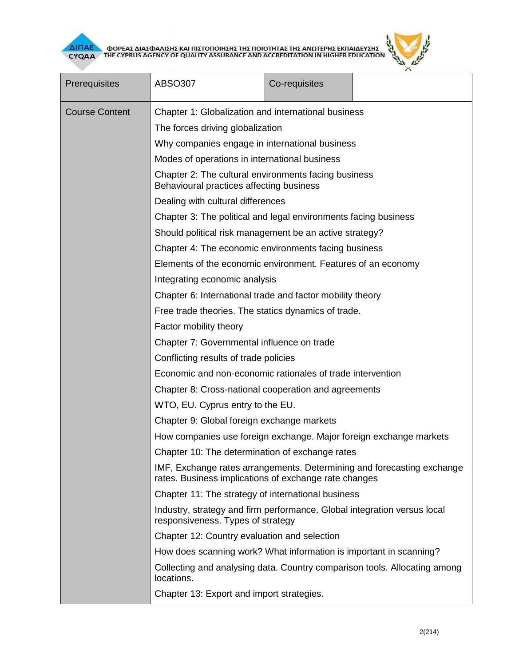



| Prerequisites         | ABSO307                                                                                                                                                                                                                                                                                                                                                                                                                                                                                                                         | Co-requisites |  |  |  |  |
|-----------------------|---------------------------------------------------------------------------------------------------------------------------------------------------------------------------------------------------------------------------------------------------------------------------------------------------------------------------------------------------------------------------------------------------------------------------------------------------------------------------------------------------------------------------------|---------------|--|--|--|--|
| <b>Course Content</b> | Chapter 1: Globalization and international business                                                                                                                                                                                                                                                                                                                                                                                                                                                                             |               |  |  |  |  |
|                       | The forces driving globalization                                                                                                                                                                                                                                                                                                                                                                                                                                                                                                |               |  |  |  |  |
|                       | Why companies engage in international business<br>Modes of operations in international business<br>Chapter 2: The cultural environments facing business<br>Behavioural practices affecting business<br>Dealing with cultural differences<br>Chapter 3: The political and legal environments facing business<br>Should political risk management be an active strategy?<br>Chapter 4: The economic environments facing business<br>Elements of the economic environment. Features of an economy<br>Integrating economic analysis |               |  |  |  |  |
|                       |                                                                                                                                                                                                                                                                                                                                                                                                                                                                                                                                 |               |  |  |  |  |
|                       |                                                                                                                                                                                                                                                                                                                                                                                                                                                                                                                                 |               |  |  |  |  |
|                       |                                                                                                                                                                                                                                                                                                                                                                                                                                                                                                                                 |               |  |  |  |  |
|                       |                                                                                                                                                                                                                                                                                                                                                                                                                                                                                                                                 |               |  |  |  |  |
|                       |                                                                                                                                                                                                                                                                                                                                                                                                                                                                                                                                 |               |  |  |  |  |
|                       |                                                                                                                                                                                                                                                                                                                                                                                                                                                                                                                                 |               |  |  |  |  |
|                       |                                                                                                                                                                                                                                                                                                                                                                                                                                                                                                                                 |               |  |  |  |  |
|                       |                                                                                                                                                                                                                                                                                                                                                                                                                                                                                                                                 |               |  |  |  |  |
|                       | Chapter 6: International trade and factor mobility theory                                                                                                                                                                                                                                                                                                                                                                                                                                                                       |               |  |  |  |  |
|                       | Free trade theories. The statics dynamics of trade.                                                                                                                                                                                                                                                                                                                                                                                                                                                                             |               |  |  |  |  |
|                       | Factor mobility theory                                                                                                                                                                                                                                                                                                                                                                                                                                                                                                          |               |  |  |  |  |
|                       | Chapter 7: Governmental influence on trade<br>Conflicting results of trade policies<br>Economic and non-economic rationales of trade intervention<br>Chapter 8: Cross-national cooperation and agreements<br>WTO, EU. Cyprus entry to the EU.                                                                                                                                                                                                                                                                                   |               |  |  |  |  |
|                       |                                                                                                                                                                                                                                                                                                                                                                                                                                                                                                                                 |               |  |  |  |  |
|                       |                                                                                                                                                                                                                                                                                                                                                                                                                                                                                                                                 |               |  |  |  |  |
|                       |                                                                                                                                                                                                                                                                                                                                                                                                                                                                                                                                 |               |  |  |  |  |
|                       |                                                                                                                                                                                                                                                                                                                                                                                                                                                                                                                                 |               |  |  |  |  |
|                       | Chapter 9: Global foreign exchange markets                                                                                                                                                                                                                                                                                                                                                                                                                                                                                      |               |  |  |  |  |
|                       | How companies use foreign exchange. Major foreign exchange markets                                                                                                                                                                                                                                                                                                                                                                                                                                                              |               |  |  |  |  |
|                       | Chapter 10: The determination of exchange rates                                                                                                                                                                                                                                                                                                                                                                                                                                                                                 |               |  |  |  |  |
|                       | IMF, Exchange rates arrangements. Determining and forecasting exchange<br>rates. Business implications of exchange rate changes                                                                                                                                                                                                                                                                                                                                                                                                 |               |  |  |  |  |
|                       | Chapter 11: The strategy of international business                                                                                                                                                                                                                                                                                                                                                                                                                                                                              |               |  |  |  |  |
|                       | Industry, strategy and firm performance. Global integration versus local<br>responsiveness. Types of strategy                                                                                                                                                                                                                                                                                                                                                                                                                   |               |  |  |  |  |
|                       | Chapter 12: Country evaluation and selection                                                                                                                                                                                                                                                                                                                                                                                                                                                                                    |               |  |  |  |  |
|                       | How does scanning work? What information is important in scanning?                                                                                                                                                                                                                                                                                                                                                                                                                                                              |               |  |  |  |  |
|                       | Collecting and analysing data. Country comparison tools. Allocating among<br>locations.                                                                                                                                                                                                                                                                                                                                                                                                                                         |               |  |  |  |  |
|                       | Chapter 13: Export and import strategies.                                                                                                                                                                                                                                                                                                                                                                                                                                                                                       |               |  |  |  |  |